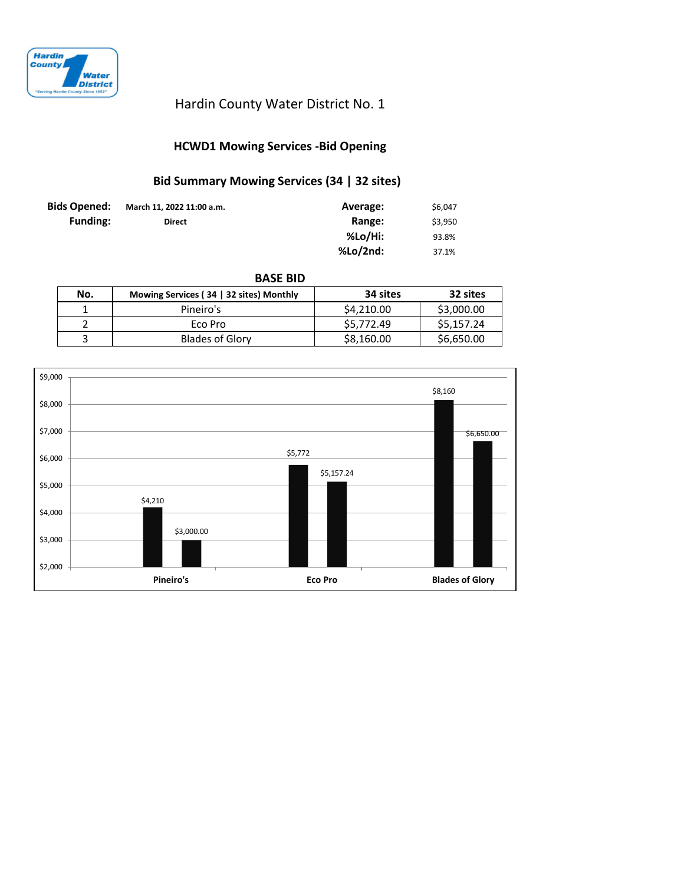

## Hardin County Water District No. 1

## **HCWD1 Mowing Services -Bid Opening**

# **Bid Summary Mowing Services (34 | 32 sites)**

| <b>Bids Opened:</b> | March 11, 2022 11:00 a.m. | Average: | \$6.047 |
|---------------------|---------------------------|----------|---------|
| <b>Funding:</b>     | <b>Direct</b>             | Range:   | \$3,950 |
|                     |                           | %Lo/Hi:  | 93.8%   |
|                     |                           | %Lo/2nd: | 37.1%   |

**BASE BID**

| No. | Mowing Services (34   32 sites) Monthly | 34 sites   | 32 sites   |
|-----|-----------------------------------------|------------|------------|
|     | Pineiro's                               | \$4,210.00 | \$3,000.00 |
|     | Eco Pro                                 | \$5,772.49 | \$5,157.24 |
|     | <b>Blades of Glory</b>                  | \$8,160.00 | \$6,650.00 |